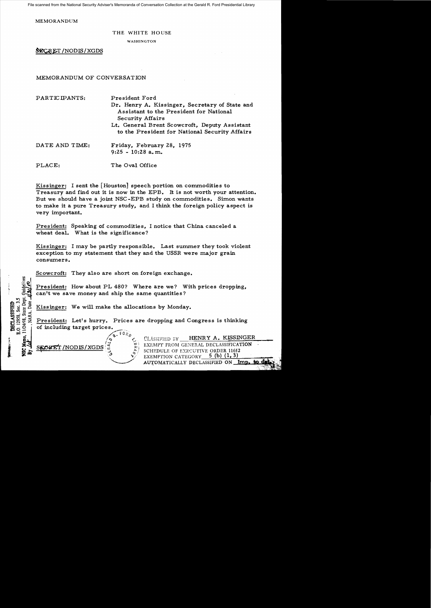File scanned from the National Security Adviser's Memoranda of Conversation Collection at the Gerald R. Ford Presidential Library

MEMORANDUM

#### THE WHITE HOUSE

WASHINGTON

SECRET/NODIS/XGDS

MEMORANDUM OF CONVERSATION

PARTICIPANTS: President Ford Dr. Henry A. Kissinger, Secretary of State and Assistant to the President for National **Security Affairs** Lt. General Brent Scowcroft, Deputy Assistant to the President for National Security Affairs DATE AND TIME: Friday, February 28, 1975  $9:25 - 10:28$  a.m.

PLACE: The Oval Office

Kissinger: I sent the [Houston] speech portion on commodities to Treasury and find out it is now in the EPB. It is not worth your attention. But we should have a joint NSC-EPB study on commodities. Simon wants to make it a pure Treasury study, and I think the foreign policy aspect is very important.

President: Speaking of commodities, I notice that China canceled a wheat deal. What is the significance?

Kissinger: I may be partly responsible. Last summer they took violent exception to my statement that they and the USSR were major grain consumers.

Scowcroft: They also are short on foreign exchange.

President: How about PL 480? Where are we? With prices dropping, can't we save money and ship the same quantities?

Kissinger: We will make the allocations by Monday.

President: Let's hurry. Prices are dropping and Congress is thinking of including target prices.

/NODIS/XGDS

State Dep

11/24/98,

NARA, Date

E.O. 12958, Sec. 3.

**DECLASSIFIED** 

HENRY A. KISSINGER CLASSIFIED BY EXEMPT FROM GENERAL DECLASSIFICATION SCHEDULE OF EXECUTIVE ORDER 11652 5 (b)  $(1, 3)$ EXEMPTION CATEGORY AUTOMATICALLY DECLASSIFIED ON Imp.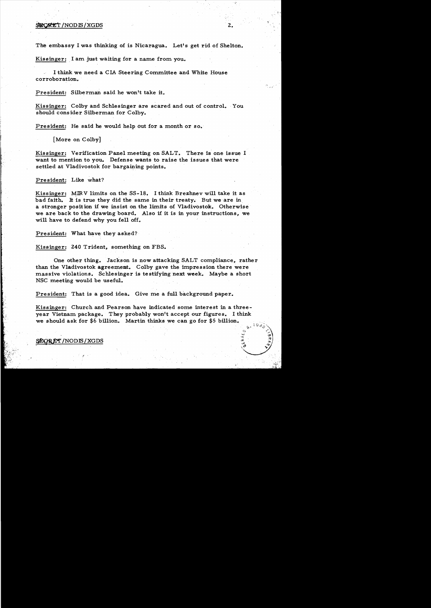### SECRET / NOD IS / XGDS

The embassy I was thinking of is Nicaragua. Let's get rid of Shelton.

Kissinger: I am just waiting for a name from you.

I think we need a CIA Steering Committee and White House corroboration.

President: Silberman said he won't take it.

Kissinger: Colby and Schlesinger are scared and out of control. You should consider Silberman for Colby.

President: He said he would help out for a month or so.

[More on Colby]

Kissinger: Verification Panel meeting on SALT. There is one issue I want to mention to you. Defense wants to raise the issues that were settled at Vladivostok for bargaining points.

#### President: Like what?

Kissinger: MIRV limits on the SS-18. I think Brezhnev will take it as bad faith. It is true they did the same in their treaty. But we are in a stronger position if we insist on the limits of Vladivostok. Otherwise we are back to the drawing board. Also if it is in your instructions, we will have to defend why you fell off.

President: What have they asked?

Kissinger: 240 Trident, something on FBS.

One other thing. Jackson is now attacking SALT compliance, rather than the Vladivostok agreement. Colby gave the impression there were massive violations. Schlesinger is testifying next week. Maybe a short NSC meeting would be useful.

President: That is a good idea. Give me a full background paper.

Kissinger: Church and Pearson have indicated some interest in a threeyear Vietnam package. They probably won't accept our figures. I think we should ask for \$6 billion. Martin thinks we can go for \$5 billion.

#### **SEGRET/NODIS/XGDS**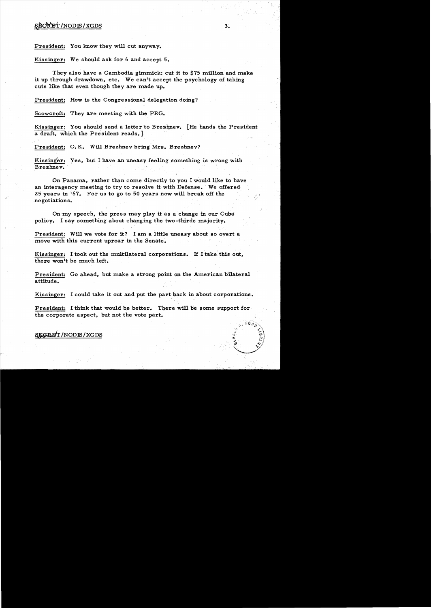# $$RCKEf/NODIS/XGDS$  3.

President: You know they will cut anyway.

Kissinger: We should ask for 6 and accept 5.

They also have a Cambodia gimmick: cut it to \$75 million and make it up through drawdown, etc. We can't accept the psychology of taking cuts like that even though they are made up.

President: How is the Congressional delegation doing?

Scowcroft: They are meeting with the PRG.

Kissinger: You should send a letter to Brezhnev. [He hands the President a draft, which the President reads.}

President: O. K. Will Brezhnev bring Mrs. Brezhnev?

Kissinger: Yes, but I have an uneasy feeling something is wrong with Brezhnev.

On Panama, rather than come directly to you I would like to have an interagency meeting to try to resolve it with Defense. We offered 25 years in  $167$ . For us to go to 50 years now will break off the ne gotiations.

On my speech, the press may play it as a change in our Cuba. policy. I say something about changing the two-thirds majority.

President: Will we vote for it? I am a little uneasy about so overt a move with this current uproar in the Senate.

Kissinger: I took out the multilateral corporations. If I take this out, there won't be much left.

President: Go ahead, but make a strong point on the American bilateral attitude.

Kissinger: I could take it out and put the part back in about corporations.

President: I think that would be better. There will be some support for the corporate aspect, but not the vote part.

## **§EGRET/NODIS/XGDS**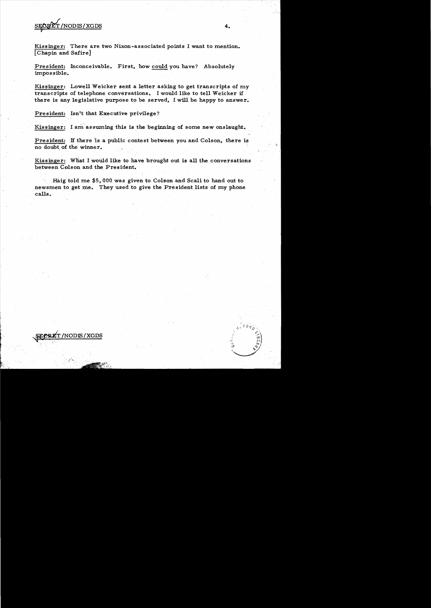# SEORET/NODIS/XGDS

Kissinger: There are two Nixon-associated points I want to mention. [Chapin and Safire]

President: Inconceivable. First, how could you have? Absolutely impossible.

Kissinger: Lowell Weicker sent a letter asking to get transcripts of my transcripts of telephone conversations. I would like to tell Weicker if there is any legislative purpose to be served, I will be happy to answer.

President: Isn't that Executive privilege?

Kissinger: I am assuming this is the beginning of some new onslaught.

President: If there is a public contest between you and Colson, there is no doubt, of the winner.

Kissinger: What I would like to have brought out is all the conversations between Colson and the President.

 $H \text{aig told me } $5,000$  was given to Colson and Scali to hand out to newsmen to get me. They used to give the President lists of my phone calls.

LET /NODIS / XGDS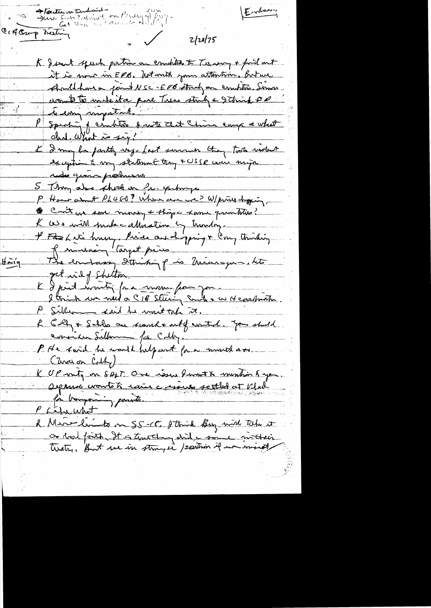Entres Harities on The Stern Sant Colland on Penergy (20) CIA Crop meeting  $2|28|75$ K Josent speech portion on comontant Terries + ford out it is mour in EPB. Witwith your attention. But we should have a point NSC-E0B street on comptions Simon mont to insteit a puie Tres strik e 2 trinh Pd P sperhoi de chiter dante Et Chin emp a what L'Imight party use fast surmer they trote violent redu quin portuurs 5 Thing also short en fri. spihogs P Home asunt PL460? When are we? W/priso dyping, Cont one some money + those Lame grantities? L ce e will probe calhéative in trondry. l'Etat i la hum pièce au chaping & Conz Amting The endorse String p is Microgue.html  $\sharp$ aig K & print martin par manu française et constant P Silber < said he won't toke it. R Colf & Sallo on south and of water. you should consider Sellan for Cally. P He sound he would help and for a mouth over. (Zwarian Colhy) K UP virty on SALT. One issue front & montion & you. Deparis vontés rain coisines settled et l'Ird P Letrumet & Mare limits on S.S-C. Strick Buy with Take it or Road fonts It is truthing shit a some mittheir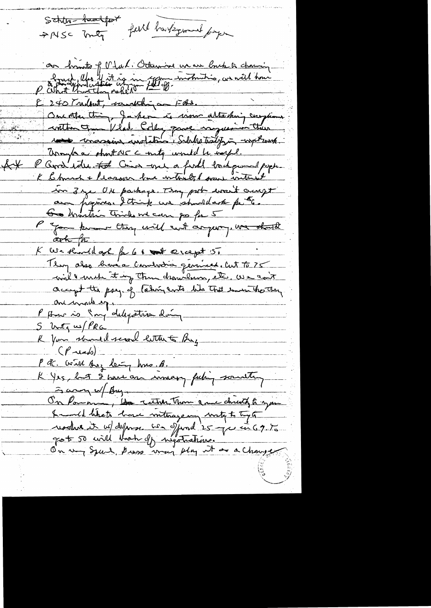Schlig-backfort full barkground forger AMSC Inty

 $k$ 

our hints of Mal. Otherwise we are buck to channing Part Monderflier af in 700 minutie, an will home P What there they early 10 10 10 Our otten thing, Jacken is work attaching compliants without Vlade Colley pare impression their rest conservant instalation Subles traiting -with work Unough a short we county would be way . P Gord identit Cin -one a find tochper poppe K Charch + Reason how without have without in 3 ye UN parkage. They put would caugh au popines. Itains un étunillaite puite. I game known they will cut anyway. We should ark for K We should got for 61 th crapt 5. Tloy also bruéa combodia genéral cut to 75 will met it up then drawly etc. We can't accept the psey. of taking ants like That invention the the one made eggs P Americo Sur delegation doing S Voty us PRG K Your should see letter to Buy  $(P\rightarrow \rightarrow \rightarrow)$ P & with suz leig hns. B.<br>K Yes, but I have an inneary feeling southing Fary of By On Poman, les rather Than grave child to you hundle that home interagement wrote to type !<br>reached it us defense is of food 25 que in 69.75